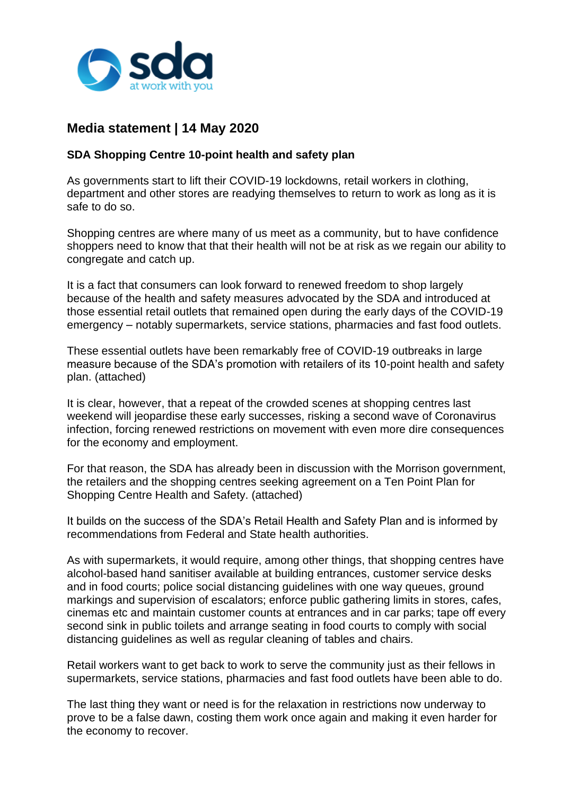

## **Media statement | 14 May 2020**

SDA Shopping Centre 10-point health and safety plan

As governments start to lift their COVID-19 lockdowns, retail workers in clothing, department and other stores are readying themselves to return to work as long as it is safe to do so.

Shopping centres are where many of us meet as a community, but to have confidence shoppers need to know that that their health will not be at risk as we regain our ability to congregate and catch up.

It is a fact that consumers can look forward to renewed freedom to shop largely because of the health and safety measures advocated by the SDA and introduced at those essential retail outlets that remained open during the early days of the COVID-19 emergency – notably supermarkets, service stations, pharmacies and fast food outlets.

These essential outlets have been remarkably free of COVID-19 outbreaks in large measure because of the SDA's promotion with retailers of its 10-point health and safety plan. (attached)

It is clear, however, that a repeat of the crowded scenes at shopping centres last weekend will jeopardise these early successes, risking a second wave of Coronavirus infection, forcing renewed restrictions on movement with even more dire consequences for the economy and employment.

For that reason, the SDA has already been in discussion with the Morrison government, the retailers and the shopping centres seeking agreement on a Ten Point Plan for Shopping Centre Health and Safety. (attached)

It builds on the success of the SDA's Retail Health and Safety Plan and is informed by recommendations from Federal and State health authorities.

As with supermarkets, it would require, among other things, that shopping centres have alcohol-based hand sanitiser available at building entrances, customer service desks and in food courts; police social distancing guidelines with one way queues, ground markings and supervision of escalators; enforce public gathering limits in stores, cafes, cinemas etc and maintain customer counts at entrances and in car parks; tape off every second sink in public toilets and arrange seating in food courts to comply with social distancing guidelines as well as regular cleaning of tables and chairs.

Retail workers want to get back to work to serve the community just as their fellows in supermarkets, service stations, pharmacies and fast food outlets have been able to do.

The last thing they want or need is for the relaxation in restrictions now underway to prove to be a false dawn, costing them work once again and making it even harder for the economy to recover.